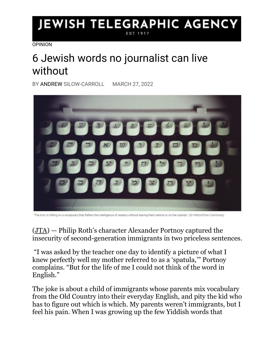## **JEWISH TELEGRAPHIC AGENCY**

[OPINION](https://www.jta.org/category/opinion)

## 6 Jewish words no journalist can live without

BY [ANDREW](https://www.jta.org/author/cnaan-liphshiz) SILOW-CARROLL MARCH 27, 2022



"The trick is hitting on a vocabulary that flatters the intelligence of readers without leaving them behind or on the outside." (Or Hiltch/Flickr Commons)

[\(JTA\)](http://www.jta.org/) — Philip Roth's character Alexander Portnoy captured the insecurity of second-generation immigrants in two priceless sentences.

"I was asked by the teacher one day to identify a picture of what I knew perfectly well my mother referred to as a 'spatula,'" Portnoy complains. "But for the life of me I could not think of the word in English."

The joke is about a child of immigrants whose parents mix vocabulary from the Old Country into their everyday English, and pity the kid who has to figure out which is which. My parents weren't immigrants, but I feel his pain. When I was growing up the few Yiddish words that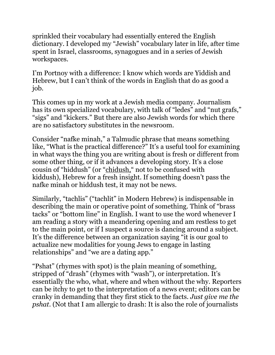sprinkled their vocabulary had essentially entered the English dictionary. I developed my "Jewish" vocabulary later in life, after time spent in Israel, classrooms, synagogues and in a series of Jewish workspaces.

I'm Portnoy with a difference: I know which words are Yiddish and Hebrew, but I can't think of the words in English that do as good a job.

This comes up in my work at a Jewish media company. Journalism has its own specialized vocabulary, with talk of "ledes" and "nut grafs," "sigs" and "kickers." But there are also Jewish words for which there are no satisfactory substitutes in the newsroom.

Consider "nafke minah," a Talmudic phrase that means something like, "What is the practical difference?" It's a useful tool for examining in what ways the thing you are writing about is fresh or different from some other thing, or if it advances a developing story. It's a close cousin of "hiddush" (or "[chidush,](https://jel.jewish-languages.org/words/1345)" not to be confused with kiddush), Hebrew for a fresh insight. If something doesn't pass the nafke minah or hiddush test, it may not be news.

Similarly, "tachlis" ("tachlit" in Modern Hebrew) is indispensable in describing the main or operative point of something. Think of "brass tacks" or "bottom line" in English. I want to use the word whenever I am reading a story with a meandering opening and am restless to get to the main point, or if I suspect a source is dancing around a subject. It's the difference between an organization saying "it is our goal to actualize new modalities for young Jews to engage in lasting relationships" and "we are a dating app."

"Pshat" (rhymes with spot) is the plain meaning of something, stripped of "drash" (rhymes with "wash"), or interpretation. It's essentially the who, what, where and when without the why. Reporters can be itchy to get to the interpretation of a news event; editors can be cranky in demanding that they first stick to the facts. *Just give me the pshat*. (Not that I am allergic to drash: It is also the role of journalists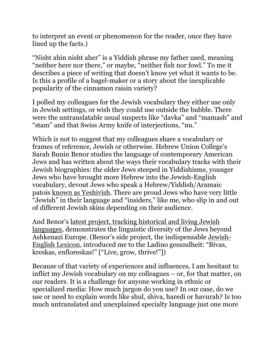to interpret an event or phenomenon for the reader, once they have lined up the facts.)

"Nisht ahin nisht aher" is a Yiddish phrase my father used, meaning "neither here nor there," or maybe, "neither fish nor fowl." To me it describes a piece of writing that doesn't know yet what it wants to be. Is this a profile of a bagel-maker or a story about the inexplicable popularity of the cinnamon raisin variety?

I polled my colleagues for the Jewish vocabulary they either use only in Jewish settings, or wish they could use outside the bubble. There were the untranslatable usual suspects like "davka" and "mamash" and "stam" and that Swiss Army knife of interjections, "nu."

Which is not to suggest that my colleagues share a vocabulary or frames of reference, Jewish or otherwise. Hebrew Union College's Sarah Bunin Benor studies the language of contemporary American Jews and has written about the ways their vocabulary tracks with their Jewish biographies: the older Jews steeped in Yiddishisms, younger Jews who have brought more Hebrew into the Jewish-English vocabulary, devout Jews who speak a Hebrew/Yiddish/Aramaic patois [known as Yeshivish.](https://forward.com/schmooze/198955/why-i-use-yeshivish/) There are proud Jews who have very little "Jewish" in their language and "insiders," like me, who slip in and out of different Jewish skins depending on their audience.

And Benor's [latest project, tracking historical and living Jewish](https://www.jewishlanguages.org/)  [languages,](https://www.jewishlanguages.org/) demonstrates the linguistic diversity of the Jews beyond Ashkenazi Europe. (Benor's side project, the indispensable [Jewish-](https://jel.jewish-languages.org/)[English Lexicon](https://jel.jewish-languages.org/), introduced me to the Ladino gesundheit: "Bivas, kreskas, enfloreskas!" ["Live, grow, thrive!"])

Because of that variety of experiences and influences, I am hesitant to inflict my Jewish vocabulary on my colleagues – or, for that matter, on our readers. It is a challenge for anyone working in ethnic or specialized media: How much jargon do you use? In our case, do we use or need to explain words like shul, shiva, haredi or havurah? Is too much untranslated and unexplained specialty language just one more